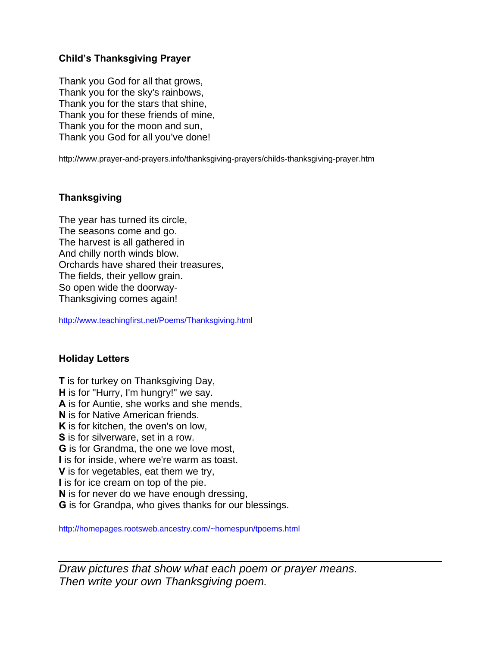### **Child's Thanksgiving Prayer**

Thank you God for all that grows, Thank you for the sky's rainbows, Thank you for the stars that shine, Thank you for these friends of mine, Thank you for the moon and sun, Thank you God for all you've done!

http://www.prayer-and-prayers.info/thanksgiving-prayers/childs-thanksgiving-prayer.htm

# **Thanksgiving**

The year has turned its circle, The seasons come and go. The harvest is all gathered in And chilly north winds blow. Orchards have shared their treasures, The fields, their yellow grain. So open wide the doorway-Thanksgiving comes again!

http://www.teachingfirst.net/Poems/Thanksgiving.html

## **Holiday Letters**

**T** is for turkey on Thanksgiving Day, **H** is for "Hurry, I'm hungry!" we say. **A** is for Auntie, she works and she mends, **N** is for Native American friends. **K** is for kitchen, the oven's on low, **S** is for silverware, set in a row. **G** is for Grandma, the one we love most, **I** is for inside, where we're warm as toast. **V** is for vegetables, eat them we try, **I** is for ice cream on top of the pie. **N** is for never do we have enough dressing, **G** is for Grandpa, who gives thanks for our blessings.

http://homepages.rootsweb.ancestry.com/~homespun/tpoems.html

*Draw pictures that show what each poem or prayer means. Then write your own Thanksgiving poem.*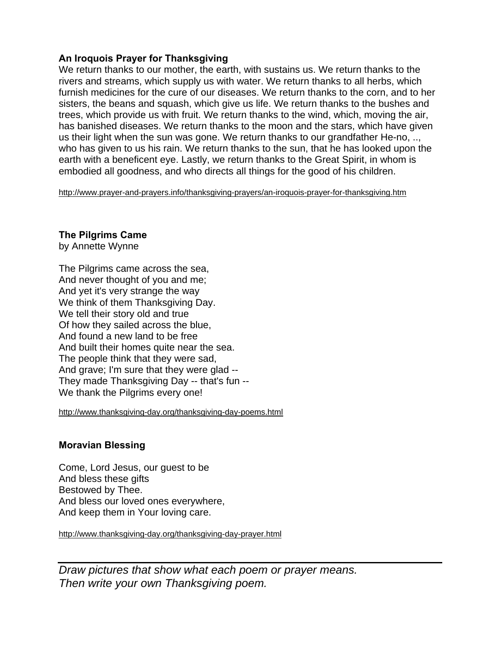#### **An Iroquois Prayer for Thanksgiving**

We return thanks to our mother, the earth, with sustains us. We return thanks to the rivers and streams, which supply us with water. We return thanks to all herbs, which furnish medicines for the cure of our diseases. We return thanks to the corn, and to her sisters, the beans and squash, which give us life. We return thanks to the bushes and trees, which provide us with fruit. We return thanks to the wind, which, moving the air, has banished diseases. We return thanks to the moon and the stars, which have given us their light when the sun was gone. We return thanks to our grandfather He-no, .., who has given to us his rain. We return thanks to the sun, that he has looked upon the earth with a beneficent eye. Lastly, we return thanks to the Great Spirit, in whom is embodied all goodness, and who directs all things for the good of his children.

http://www.prayer-and-prayers.info/thanksgiving-prayers/an-iroquois-prayer-for-thanksgiving.htm

#### **The Pilgrims Came**

by Annette Wynne

The Pilgrims came across the sea, And never thought of you and me; And yet it's very strange the way We think of them Thanksgiving Day. We tell their story old and true Of how they sailed across the blue, And found a new land to be free And built their homes quite near the sea. The people think that they were sad, And grave; I'm sure that they were glad -- They made Thanksgiving Day -- that's fun -- We thank the Pilgrims every one!

http://www.thanksgiving-day.org/thanksgiving-day-poems.html

#### **Moravian Blessing**

Come, Lord Jesus, our guest to be And bless these gifts Bestowed by Thee. And bless our loved ones everywhere, And keep them in Your loving care.

http://www.thanksgiving-day.org/thanksgiving-day-prayer.html

*Draw pictures that show what each poem or prayer means. Then write your own Thanksgiving poem.*